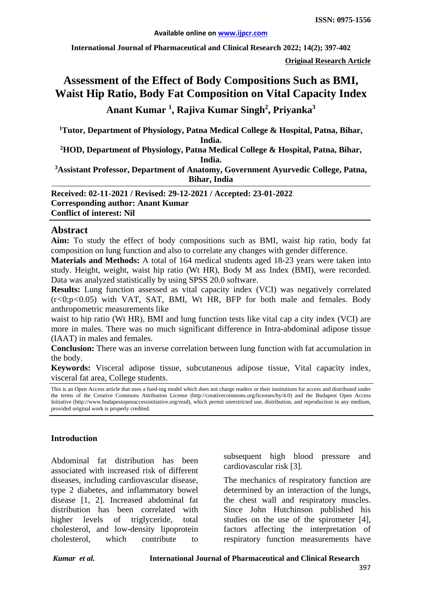**International Journal of Pharmaceutical and Clinical Research 2022; 14(2); 397-402**

**Original Research Article**

# **Assessment of the Effect of Body Compositions Such as BMI, Waist Hip Ratio, Body Fat Composition on Vital Capacity Index Anant Kumar <sup>1</sup> , Rajiva Kumar Singh2 , Priyanka<sup>3</sup>**

**1 Tutor, Department of Physiology, Patna Medical College & Hospital, Patna, Bihar, India.**

**2 HOD, Department of Physiology, Patna Medical College & Hospital, Patna, Bihar, India.**

**3 Assistant Professor, Department of Anatomy, Government Ayurvedic College, Patna, Bihar, India**

**Received: 02-11-2021 / Revised: 29-12-2021 / Accepted: 23-01-2022 Corresponding author: Anant Kumar Conflict of interest: Nil**

#### **Abstract**

**Aim:** To study the effect of body compositions such as BMI, waist hip ratio, body fat composition on lung function and also to correlate any changes with gender difference.

**Materials and Methods:** A total of 164 medical students aged 18-23 years were taken into study. Height, weight, waist hip ratio (Wt HR), Body M ass Index (BMI), were recorded. Data was analyzed statistically by using SPSS 20.0 software.

**Results:** Lung function assessed as vital capacity index (VCI) was negatively correlated (r*<*0;p*<*0.05) with VAT, SAT, BMI, Wt HR, BFP for both male and females. Body anthropometric measurements like

waist to hip ratio (Wt HR), BMI and lung function tests like vital cap a city index (VCI) are more in males. There was no much significant difference in Intra-abdominal adipose tissue (IAAT) in males and females.

**Conclusion:** There was an inverse correlation between lung function with fat accumulation in the body.

**Keywords:** Visceral adipose tissue, subcutaneous adipose tissue, Vital capacity index, visceral fat area, College students.

This is an Open Access article that uses a fund-ing model which does not charge readers or their institutions for access and distributed under the terms of the Creative Commons Attribution License (http://creativecommons.org/licenses/by/4.0) and the Budapest Open Access Initiative (http://www.budapestopenaccessinitiative.org/read), which permit unrestricted use, distribution, and reproduction in any medium, provided original work is properly credited.

#### **Introduction**

Abdominal fat distribution has been associated with increased risk of different diseases, including cardiovascular disease, type 2 diabetes, and inflammatory bowel disease [1, 2]. Increased abdominal fat distribution has been correlated with higher levels of triglyceride, total cholesterol, and low-density lipoprotein cholesterol, which contribute to

subsequent high blood pressure and cardiovascular risk [3].

The mechanics of respiratory function are determined by an interaction of the lungs, the chest wall and respiratory muscles. Since John Hutchinson published his studies on the use of the spirometer [4], factors affecting the interpretation of respiratory function measurements have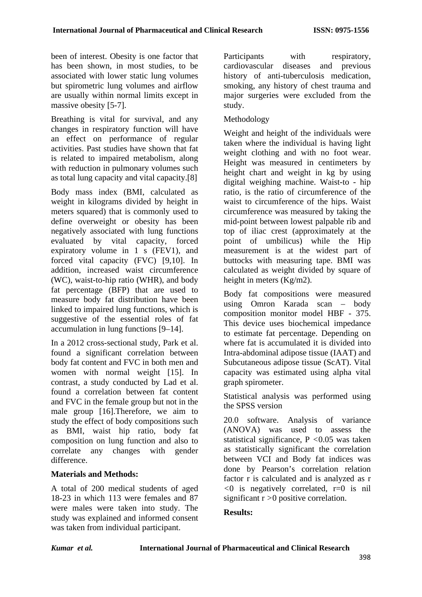been of interest. Obesity is one factor that has been shown, in most studies, to be associated with lower static lung volumes but spirometric lung volumes and airflow are usually within normal limits except in massive obesity [5-7].

Breathing is vital for survival, and any changes in respiratory function will have an effect on performance of regular activities. Past studies have shown that fat is related to impaired metabolism, along with reduction in pulmonary volumes such as total lung capacity and vital capacity.[8]

Body mass index (BMI, calculated as weight in kilograms divided by height in meters squared) that is commonly used to define overweight or obesity has been negatively associated with lung functions evaluated by vital capacity, forced expiratory volume in 1 s (FEV1), and forced vital capacity (FVC) [9,10]. In addition, increased waist circumference (WC), waist-to-hip ratio (WHR), and body fat percentage (BFP) that are used to measure body fat distribution have been linked to impaired lung functions, which is suggestive of the essential roles of fat accumulation in lung functions [9–14].

In a 2012 cross-sectional study, Park et al. found a significant correlation between body fat content and FVC in both men and women with normal weight [15]. In contrast, a study conducted by Lad et al. found a correlation between fat content and FVC in the female group but not in the male group [16].Therefore, we aim to study the effect of body compositions such as BMI, waist hip ratio, body fat composition on lung function and also to correlate any changes with gender difference.

## **Materials and Methods:**

A total of 200 medical students of aged 18-23 in which 113 were females and 87 were males were taken into study. The study was explained and informed consent was taken from individual participant.

Participants with respiratory, cardiovascular diseases and previous history of anti-tuberculosis medication, smoking, any history of chest trauma and major surgeries were excluded from the study.

## Methodology

Weight and height of the individuals were taken where the individual is having light weight clothing and with no foot wear. Height was measured in centimeters by height chart and weight in kg by using digital weighing machine. Waist-to - hip ratio*,* is the ratio of circumference of the waist to circumference of the hips. Waist circumference was measured by taking the mid-point between lowest palpable rib and top of iliac crest (approximately at the point of umbilicus) while the Hip measurement is at the widest part of buttocks with measuring tape. BMI was calculated as weight divided by square of height in meters (Kg/m2).

Body fat compositions were measured using Omron Karada scan – body composition monitor model HBF - 375. This device uses biochemical impedance to estimate fat percentage. Depending on where fat is accumulated it is divided into Intra-abdominal adipose tissue (IAAT) and Subcutaneous adipose tissue (ScAT). Vital capacity was estimated using alpha vital graph spirometer.

Statistical analysis was performed using the SPSS version

20.0 software. Analysis of variance (ANOVA) was used to assess the statistical significance, P *<*0.05 was taken as statistically significant the correlation between VCI and Body fat indices was done by Pearson's correlation relation factor r is calculated and is analyzed as r *<*0 is negatively correlated, r=0 is nil significant r *>*0 positive correlation.

## **Results:**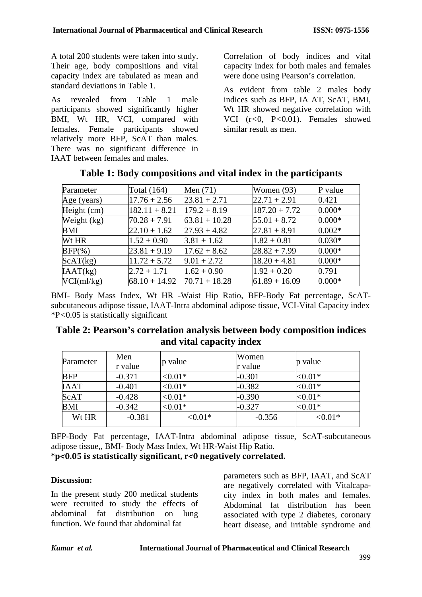A total 200 students were taken into study. Their age, body compositions and vital capacity index are tabulated as mean and standard deviations in Table 1.

As revealed from Table 1 male participants showed significantly higher BMI, Wt HR, VCI, compared with females. Female participants showed relatively more BFP, ScAT than males. There was no significant difference in IAAT between females and males.

Correlation of body indices and vital capacity index for both males and females were done using Pearson's correlation.

As evident from table 2 males body indices such as BFP, IA AT, ScAT, BMI, Wt HR showed negative correlation with VCI (r*<*0, P*<*0.01). Females showed similar result as men.

| Parameter     | Total $(164)$   | Men $(71)$      | Women $(93)$    | P value  |
|---------------|-----------------|-----------------|-----------------|----------|
| Age (years)   | $17.76 + 2.56$  | $23.81 + 2.71$  | $22.71 + 2.91$  | 0.421    |
| Height (cm)   | $182.11 + 8.21$ | $179.2 + 8.19$  | $187.20 + 7.72$ | $0.000*$ |
| Weight $(kg)$ | $70.28 + 7.91$  | $63.81 + 10.28$ | $55.01 + 8.72$  | $0.000*$ |
| BMI           | $22.10 + 1.62$  | $27.93 + 4.82$  | $27.81 + 8.91$  | $0.002*$ |
| Wt HR         | $1.52 + 0.90$   | $3.81 + 1.62$   | $1.82 + 0.81$   | $0.030*$ |
| $BFP(\% )$    | $23.81 + 9.19$  | $17.62 + 8.62$  | $28.82 + 7.99$  | $0.000*$ |
| ScAT(kg)      | $11.72 + 5.72$  | $9.01 + 2.72$   | $18.20 + 4.81$  | $0.000*$ |
| IAAT(kg)      | $2.72 + 1.71$   | $1.62 + 0.90$   | $1.92 + 0.20$   | 0.791    |
| VCI(ml/kg)    | $68.10 + 14.92$ | $70.71 + 18.28$ | $61.89 + 16.09$ | $0.000*$ |

**Table 1: Body compositions and vital index in the participants**

BMI- Body Mass Index, Wt HR -Waist Hip Ratio, BFP-Body Fat percentage, ScATsubcutaneous adipose tissue, IAAT-Intra abdominal adipose tissue, VCI-Vital Capacity index \*P*<*0.05 is statistically significant

| Table 2: Pearson's correlation analysis between body composition indices |  |
|--------------------------------------------------------------------------|--|
| and vital capacity index                                                 |  |

| Parameter   | Men<br>r value | p value    | Women<br>r value | p value    |
|-------------|----------------|------------|------------------|------------|
| <b>BFP</b>  | $-0.371$       | ${<}0.01*$ | $-0.301$         | ${<}0.01*$ |
| <b>IAAT</b> | $-0.401$       | ${<}0.01*$ | $-0.382$         | ${<}0.01*$ |
| ScAT        | $-0.428$       | ${<}0.01*$ | $-0.390$         | ${<}0.01*$ |
| <b>BMI</b>  | $-0.342$       | ${<}0.01*$ | $-0.327$         | ${<}0.01*$ |
| Wt HR       | $-0.381$       | ${<}0.01*$ | $-0.356$         | ${<}0.01*$ |

BFP-Body Fat percentage, IAAT-Intra abdominal adipose tissue, ScAT-subcutaneous adipose tissue,, BMI- Body Mass Index, Wt HR-Waist Hip Ratio.

**\*p***<***0.05 is statistically significant, r***<***0 negatively correlated.**

## **Discussion:**

In the present study 200 medical students were recruited to study the effects of abdominal fat distribution on lung function. We found that abdominal fat

parameters such as BFP, IAAT, and ScAT are negatively correlated with Vitalcapacity index in both males and females. Abdominal fat distribution has been associated with type 2 diabetes, coronary heart disease, and irritable syndrome and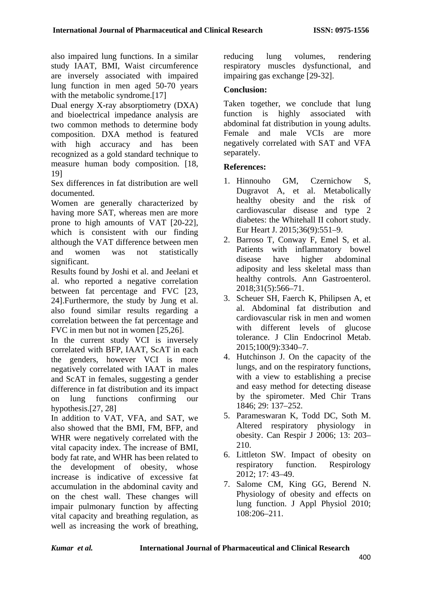also impaired lung functions. In a similar study IAAT, BMI, Waist circumference are inversely associated with impaired lung function in men aged 50-70 years with the metabolic syndrome.<sup>[17]</sup>

Dual energy X-ray absorptiometry (DXA) and bioelectrical impedance analysis are two common methods to determine body composition. DXA method is featured with high accuracy and has been recognized as a gold standard technique to measure human body composition. [18, 19]

Sex differences in fat distribution are well documented.

Women are generally characterized by having more SAT, whereas men are more prone to high amounts of VAT [20-22], which is consistent with our finding although the VAT difference between men and women was not statistically significant.

Results found by Joshi et al. and Jeelani et al. who reported a negative correlation between fat percentage and FVC [23, 24].Furthermore, the study by Jung et al. also found similar results regarding a correlation between the fat percentage and FVC in men but not in women [25,26].

In the current study VCI is inversely correlated with BFP, IAAT, ScAT in each the genders, however VCI is more negatively correlated with IAAT in males and ScAT in females, suggesting a gender difference in fat distribution and its impact on lung functions confirming our hypothesis.[27, 28]

In addition to VAT, VFA, and SAT, we also showed that the BMI, FM, BFP, and WHR were negatively correlated with the vital capacity index. The increase of BMI, body fat rate, and WHR has been related to the development of obesity, whose increase is indicative of excessive fat accumulation in the abdominal cavity and on the chest wall. These changes will impair pulmonary function by affecting vital capacity and breathing regulation, as well as increasing the work of breathing, reducing lung volumes, rendering respiratory muscles dysfunctional, and impairing gas exchange [29-32].

## **Conclusion:**

Taken together, we conclude that lung function is highly associated with abdominal fat distribution in young adults. Female and male VCIs are more negatively correlated with SAT and VFA separately.

## **References:**

- 1. Hinnouho GM, Czernichow S, Dugravot A, et al. Metabolically healthy obesity and the risk of cardiovascular disease and type 2 diabetes: the Whitehall II cohort study. Eur Heart J. 2015;36(9):551–9.
- 2. Barroso T, Conway F, Emel S, et al. Patients with inflammatory bowel disease have higher abdominal adiposity and less skeletal mass than healthy controls. Ann Gastroenterol. 2018;31(5):566–71.
- 3. Scheuer SH, Faerch K, Philipsen A, et al. Abdominal fat distribution and cardiovascular risk in men and women with different levels of glucose tolerance. J Clin Endocrinol Metab. 2015;100(9):3340–7.
- 4. Hutchinson J. On the capacity of the lungs, and on the respiratory functions, with a view to establishing a precise and easy method for detecting disease by the spirometer. Med Chir Trans 1846; 29: 137–252.
- 5. Parameswaran K, Todd DC, Soth M. Altered respiratory physiology in obesity. Can Respir J 2006; 13: 203– 210.
- 6. Littleton SW. Impact of obesity on respiratory function. Respirology 2012; 17: 43–49.
- 7. Salome CM, King GG, Berend N. Physiology of obesity and effects on lung function. J Appl Physiol 2010; 108:206–211.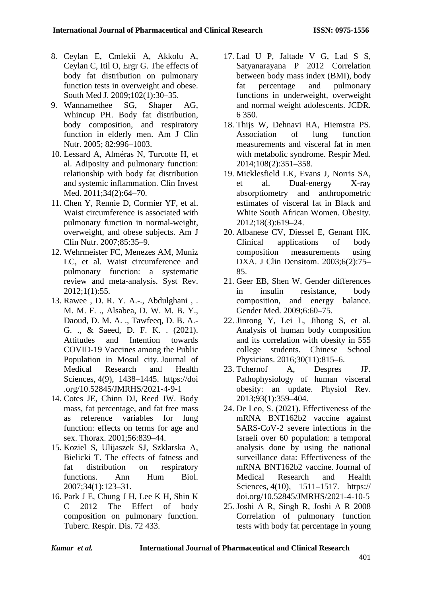- 8. Ceylan E, Cmlekii A, Akkolu A, Ceylan C, Itil O, Ergr G. The effects of body fat distribution on pulmonary function tests in overweight and obese. South Med J. 2009;102(1):30–35.
- 9. Wannamethee SG, Shaper AG, Whincup PH. Body fat distribution, body composition, and respiratory function in elderly men. Am J Clin Nutr. 2005; 82:996–1003.
- 10. Lessard A, Alméras N, Turcotte H, et al. Adiposity and pulmonary function: relationship with body fat distribution and systemic inflammation. Clin Invest Med. 2011;34(2):64–70.
- 11. Chen Y, Rennie D, Cormier YF, et al. Waist circumference is associated with pulmonary function in normal-weight, overweight, and obese subjects. Am J Clin Nutr. 2007;85:35–9.
- 12. Wehrmeister FC, Menezes AM, Muniz LC, et al. Waist circumference and pulmonary function: a systematic review and meta-analysis. Syst Rev. 2012;1(1):55.
- 13. Rawee , D. R. Y. A.-., Abdulghani , . M. M. F. ., Alsabea, D. W. M. B. Y., Daoud, D. M. A. ., Tawfeeq, D. B. A.- G. ., & Saeed, D. F. K. . (2021). Attitudes and Intention towards COVID-19 Vaccines among the Public Population in Mosul city. Journal of Medical Research and Health Sciences, 4(9), 1438–1445. https://doi .org/10.52845/JMRHS/2021-4-9-1
- 14. Cotes JE, Chinn DJ, Reed JW. Body mass, fat percentage, and fat free mass as reference variables for lung function: effects on terms for age and sex. Thorax. 2001;56:839–44.
- 15. Koziel S, Ulijaszek SJ, Szklarska A, Bielicki T. The effects of fatness and fat distribution on respiratory functions. Ann Hum Biol. 2007;34(1):123–31.
- 16. Park J E, Chung J H, Lee K H, Shin K C 2012 The Effect of body composition on pulmonary function. Tuberc. Respir. Dis. 72 433.
- 17. Lad U P, Jaltade V G, Lad S S, Satyanarayana P 2012 Correlation between body mass index (BMI), body fat percentage and pulmonary functions in underweight, overweight and normal weight adolescents. JCDR. 6 350.
- 18. Thijs W, Dehnavi RA, Hiemstra PS. Association of lung function measurements and visceral fat in men with metabolic syndrome. Respir Med. 2014;108(2):351–358.
- 19. Micklesfield LK, Evans J, Norris SA, et al. Dual-energy X-ray absorptiometry and anthropometric estimates of visceral fat in Black and White South African Women. Obesity. 2012;18(3):619–24.
- 20. Albanese CV, Diessel E, Genant HK. Clinical applications of body composition measurements using DXA. J Clin Densitom. 2003;6(2):75– 85.
- 21. Geer EB, Shen W. Gender differences in insulin resistance, body composition, and energy balance. Gender Med. 2009;6:60–75.
- 22. Jinrong Y, Lei L, Jihong S, et al. Analysis of human body composition and its correlation with obesity in 555 college students. Chinese School Physicians. 2016;30(11):815–6.
- 23. Tchernof A, Despres JP. Pathophysiology of human visceral obesity: an update. Physiol Rev. 2013;93(1):359–404.
- 24. De Leo, S. (2021). Effectiveness of the mRNA BNT162b2 vaccine against SARS-CoV-2 severe infections in the Israeli over 60 population: a temporal analysis done by using the national surveillance data: Effectiveness of the mRNA BNT162b2 vaccine. Journal of Medical Research and Health Sciences, 4(10), 1511–1517. https:// doi.org/10.52845/JMRHS/2021-4-10-5
- 25. Joshi A R, Singh R, Joshi A R 2008 Correlation of pulmonary function tests with body fat percentage in young